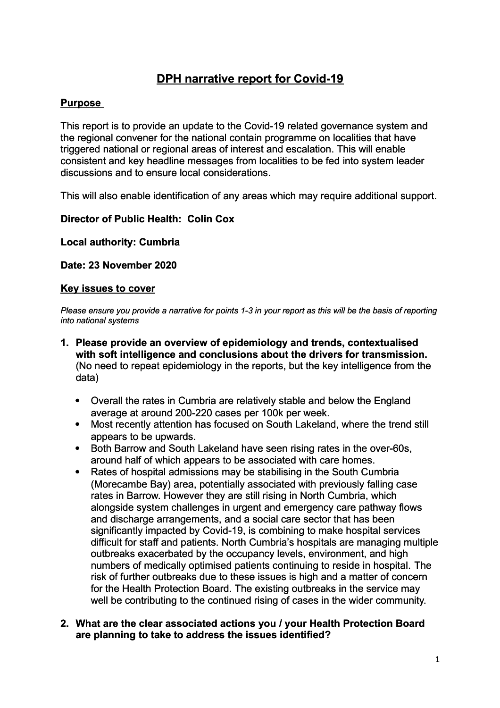# **DPH narrative report for Covid-19**

# **Purpose**

This report is to provide an update to the Covid-19 related governance system and the regional convener for the national contain programme on localities that have triggered national or regional areas of interest and escalation. This will enable consistent and key headline messages from localities to be fed into system leader discussions and to ensure local considerations.

This will also enable identification of any areas which may require additional support.

### **Director of Public Health: Colin Cox**

**Local authority: Cumbria**

#### **Date: 23 November 2020**

#### **Key issues to cover**

*Please ensure you provide a narrative for points 1-3 in your report as this will be the basis of reporting into national systems*

- **1. Please provide an overview of epidemiology and trends, contextualised with soft intelligence and conclusions about the drivers for transmission.** (No need to repeat epidemiology in the reports, but the key intelligence from the data)
	- Overall the rates in Cumbria are relatively stable and below the England average at around 200-220 cases per 100k per week.
	- Most recently attention has focused on South Lakeland, where the trend still appears to be upwards.
	- Both Barrow and South Lakeland have seen rising rates in the over-60s, around half of which appears to be associated with care homes.
	- Rates of hospital admissions may be stabilising in the South Cumbria (Morecambe Bay) area, potentially associated with previously falling case rates in Barrow. However they are still rising in North Cumbria, which alongside system challenges in urgent and emergency care pathway flows and discharge arrangements, and a social care sector that has been significantly impacted by Covid-19, is combining to make hospital services difficult for staff and patients. North Cumbria's hospitals are managing multiple outbreaks exacerbated by the occupancy levels, environment, and high numbers of medically optimised patients continuing to reside in hospital. The risk of further outbreaks due to these issues is high and a matter of concern for the Health Protection Board. The existing outbreaks in the service may well be contributing to the continued rising of cases in the wider community.

### **2. What are the clear associated actions you / your Health Protection Board are planning to take to address the issues identified?**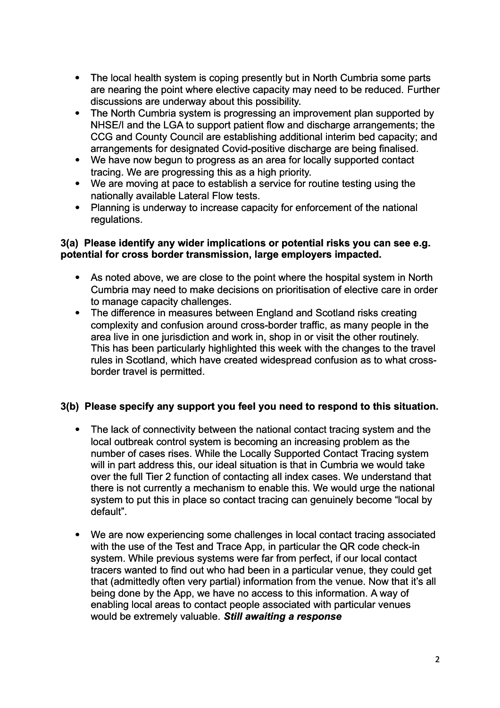- The local health system is coping presently but in North Cumbria some parts are nearing the point where elective capacity may need to be reduced. Further discussions are underway about this possibility.
- The North Cumbria system is progressing an improvement plan supported by NHSE/I and the LGA to support patient flow and discharge arrangements; the CCG and County Council are establishing additional interim bed capacity; and arrangements for designated Covid-positive discharge are being finalised.
- We have now begun to progress as an area for locally supported contact tracing. We are progressing this as a high priority.
- We are moving at pace to establish a service for routine testing using the nationally available Lateral Flow tests.
- Planning is underway to increase capacity for enforcement of the national regulations.

## **3(a) Please identify any wider implications or potential risks you can see e.g. potential for cross border transmission, large employers impacted.**

- As noted above, we are close to the point where the hospital system in North Cumbria may need to make decisions on prioritisation of elective care in order to manage capacity challenges.
- The difference in measures between England and Scotland risks creating complexity and confusion around cross-border traffic, as many people in the area live in one jurisdiction and work in, shop in or visit the other routinely. This has been particularly highlighted this week with the changes to the travel rules in Scotland, which have created widespread confusion as to what crossborder travel is permitted.

# **3(b) Please specify any support you feel you need to respond to this situation.**

- The lack of connectivity between the national contact tracing system and the local outbreak control system is becoming an increasing problem as the number of cases rises. While the Locally Supported Contact Tracing system will in part address this, our ideal situation is that in Cumbria we would take over the full Tier 2 function of contacting all index cases. We understand that there is not currently a mechanism to enable this. We would urge the national system to put this in place so contact tracing can genuinely become "local by default".
- We are now experiencing some challenges in local contact tracing associated with the use of the Test and Trace App, in particular the QR code check-in system. While previous systems were far from perfect, if our local contact tracers wanted to find out who had been in a particular venue, they could get that (admittedly often very partial) information from the venue. Now that it's all being done by the App, we have no access to this information. A way of enabling local areas to contact people associated with particular venues would be extremely valuable. *Still awaiting a response*